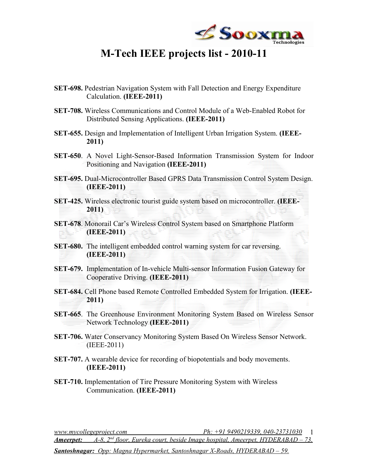

## **M-Tech IEEE projects list - 2010-11**

- **SET-698.** Pedestrian Navigation System with Fall Detection and Energy Expenditure Calculation. **(IEEE-2011)**
- **SET-708.** Wireless Communications and Control Module of a Web-Enabled Robot for Distributed Sensing Applications. **(IEEE-2011)**
- **SET-655.** Design and Implementation of Intelligent Urban Irrigation System. **(IEEE-2011)**
- **SET-650**. A Novel Light-Sensor-Based Information Transmission System for Indoor Positioning and Navigation **(IEEE-2011)**
- **SET-695.** Dual-Microcontroller Based GPRS Data Transmission Control System Design. **(IEEE-2011)**
- **SET-425.** Wireless electronic tourist guide system based on microcontroller. **(IEEE-2011)**
- **SET-678**. Monorail Car's Wireless Control System based on Smartphone Platform **(IEEE-2011)**
- **SET-680.** The intelligent embedded control warning system for car reversing. **(IEEE-2011)**
- **SET-679.** Implementation of In-vehicle Multi-sensor Information Fusion Gateway for Cooperative Driving. **(IEEE-2011)**
- **SET-684.** Cell Phone based Remote Controlled Embedded System for Irrigation. **(IEEE-2011)**
- **SET-665**. The Greenhouse Environment Monitoring System Based on Wireless Sensor Network Technology **(IEEE-2011)**
- **SET-706.** Water Conservancy Monitoring System Based On Wireless Sensor Network. (IEEE-2011)
- **SET-707.** A wearable device for recording of biopotentials and body movements. **(IEEE-2011)**
- **SET-710.** Implementation of Tire Pressure Monitoring System with Wireless Communication. **(IEEE-2011)**

*www.mycollegeproject.com Ph: +91 9490219339, 040-23731030* 1 *Ameerpet: A-8, 2nd floor, Eureka court, beside Image hospital, Ameerpet, HYDERABAD – 73. Santoshnagar: Opp: Magna Hypermarket, Santoshnagar X-Roads, HYDERABAD – 59.*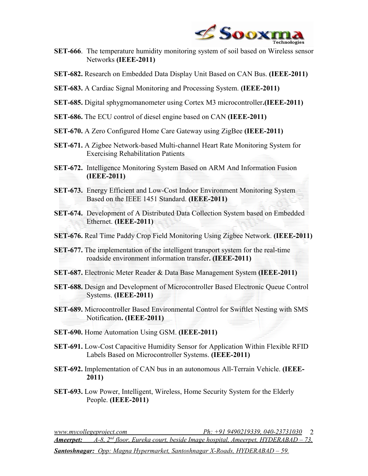

- **SET-666**. The temperature humidity monitoring system of soil based on Wireless sensor Networks **(IEEE-2011)**
- **SET-682.** Research on Embedded Data Display Unit Based on CAN Bus. **(IEEE-2011)**
- **SET-683.** A Cardiac Signal Monitoring and Processing System. **(IEEE-2011)**
- **SET-685.** Digital sphygmomanometer using Cortex M3 microcontroller**.(IEEE-2011)**
- **SET-686.** The ECU control of diesel engine based on CAN **(IEEE-2011)**
- **SET-670.** A Zero Configured Home Care Gateway using ZigBee **(IEEE-2011)**
- **SET-671.** A Zigbee Network-based Multi-channel Heart Rate Monitoring System for Exercising Rehabilitation Patients
- **SET-672.** Intelligence Monitoring System Based on ARM And Information Fusion **(IEEE-2011)**
- **SET-673.** Energy Efficient and Low-Cost Indoor Environment Monitoring System Based on the IEEE 1451 Standard. **(IEEE-2011)**
- **SET-674.** Development of A Distributed Data Collection System based on Embedded Ethernet. **(IEEE-2011)**
- **SET-676.** Real Time Paddy Crop Field Monitoring Using Zigbee Network. **(IEEE-2011)**
- **SET-677.** The implementation of the intelligent transport system for the real-time roadside environment information transfer**. (IEEE-2011)**
- **SET-687.** Electronic Meter Reader & Data Base Management System **(IEEE-2011)**
- **SET-688.** Design and Development of Microcontroller Based Electronic Queue Control Systems. **(IEEE-2011)**
- **SET-689.** Microcontroller Based Environmental Control for Swiftlet Nesting with SMS Notification**. (IEEE-2011)**
- **SET-690.** Home Automation Using GSM. **(IEEE-2011)**
- **SET-691.** Low-Cost Capacitive Humidity Sensor for Application Within Flexible RFID Labels Based on Microcontroller Systems. **(IEEE-2011)**
- **SET-692.** Implementation of CAN bus in an autonomous All-Terrain Vehicle. **(IEEE-2011)**
- **SET-693.** Low Power, Intelligent, Wireless, Home Security System for the Elderly People. **(IEEE-2011)**

*www.mycollegeproject.com Ph: +91 9490219339, 040-23731030* 2 *Ameerpet: A-8, 2nd floor, Eureka court, beside Image hospital, Ameerpet, HYDERABAD – 73. Santoshnagar: Opp: Magna Hypermarket, Santoshnagar X-Roads, HYDERABAD – 59.*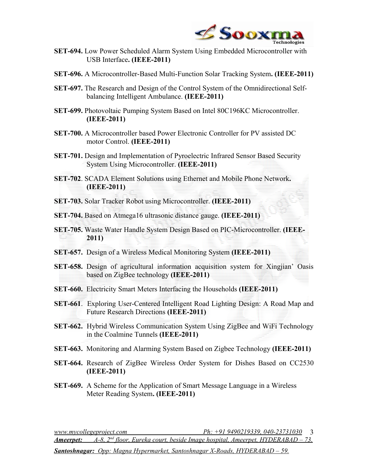

- **SET-694.** Low Power Scheduled Alarm System Using Embedded Microcontroller with USB Interface**. (IEEE-2011)**
- **SET-696.** A Microcontroller-Based Multi-Function Solar Tracking System**. (IEEE-2011)**
- **SET-697.** The Research and Design of the Control System of the Omnidirectional Selfbalancing Intelligent Ambulance. **(IEEE-2011)**
- **SET-699.** Photovoltaic Pumping System Based on Intel 80C196KC Microcontroller. **(IEEE-2011)**
- **SET-700.** A Microcontroller based Power Electronic Controller for PV assisted DC motor Control. **(IEEE-2011)**
- **SET-701.** Design and Implementation of Pyroelectric Infrared Sensor Based Security System Using Microcontroller. **(IEEE-2011)**
- **SET-702**. SCADA Element Solutions using Ethernet and Mobile Phone Network**. (IEEE-2011)**
- **SET-703.** Solar Tracker Robot using Microcontroller. **(IEEE-2011)**
- **SET-704.** Based on Atmega16 ultrasonic distance gauge. **(IEEE-2011)**
- **SET-705.** Waste Water Handle System Design Based on PIC-Microcontroller. **(IEEE-2011)**
- **SET-657.** Design of a Wireless Medical Monitoring System **(IEEE-2011)**
- **SET-658.** Design of agricultural information acquisition system for Xingjian' Oasis based on ZigBee technology **(IEEE-2011)**
- **SET-660.** Electricity Smart Meters Interfacing the Households **(IEEE-2011)**
- **SET-661**. Exploring User-Centered Intelligent Road Lighting Design: A Road Map and Future Research Directions **(IEEE-2011)**
- **SET-662.** Hybrid Wireless Communication System Using ZigBee and WiFi Technology in the Coalmine Tunnels **(IEEE-2011)**
- **SET-663.** Monitoring and Alarming System Based on Zigbee Technology **(IEEE-2011)**
- **SET-664.** Research of ZigBee Wireless Order System for Dishes Based on CC2530 **(IEEE-2011)**
- **SET-669.** A Scheme for the Application of Smart Message Language in a Wireless Meter Reading System**. (IEEE-2011)**

*www.mycollegeproject.com Ph: +91 9490219339, 040-23731030* 3 *Ameerpet: A-8, 2nd floor, Eureka court, beside Image hospital, Ameerpet, HYDERABAD – 73. Santoshnagar: Opp: Magna Hypermarket, Santoshnagar X-Roads, HYDERABAD – 59.*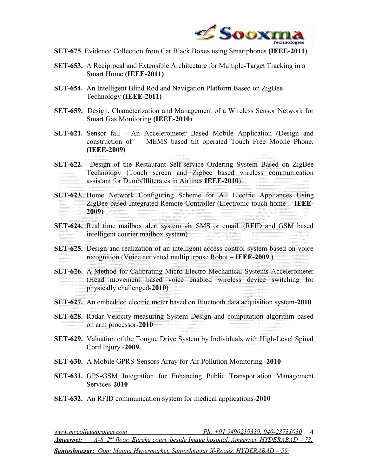

- **SET-675**. Evidence Collection from Car Black Boxes using Smartphones **(IEEE-2011)**
- **SET-653.** A Reciprocal and Extensible Architecture for Multiple-Target Tracking in a Smart Home **(IEEE-2011)**
- **SET-654.** An Intelligent Blind Rod and Navigation Platform Based on ZigBee Technology **(IEEE-2011)**
- **SET-659.** Design, Characterization and Management of a Wireless Sensor Network for Smart Gas Monitoring **(IEEE-2010)**
- **SET-621.** Sensor fall An Accelerometer Based Mobile Application (Design and construction of MEMS based tilt operated Touch Free Mobile Phone. **(IEEE-2009)**
- **SET-622.** Design of the Restaurant Self-service Ordering System Based on ZigBee Technology (Touch screen and Zigbee based wireless communication assistant for Dumb/Illiterates in Airlines **IEEE-2010**)
- **SET-623.** Home Network Configuring Scheme for All Electric Appliances Using ZigBee-based Integrated Remote Controller (Electronic touch home – **IEEE-2009**)
- **SET-624.** Real time mailbox alert system via SMS or email. (RFID and GSM based intelligent courier mailbox system)
- **SET-625.** Design and realization of an intelligent access control system based on voice recognition (Voice activated multipurpose Robot – **IEEE-2009** )
- **SET-626.** A Method for Calibrating Micro Electro Mechanical Systems Accelerometer (Head movement based voice enabled wireless device switching for physically challenged-**2010**)
- **SET-627.** An embedded electric meter based on Bluetooth data acquisition system-**2010**
- **SET-628.** Radar Velocity-measuring System Design and computation algorithm based on arm processor-**2010**
- **SET-629.** Valuation of the Tongue Drive System by Individuals with High-Level Spinal Cord Injury -**2009.**
- **SET-630.** A Mobile GPRS-Sensors Array for Air Pollution Monitoring -**2010**
- **SET-631.** GPS-GSM Integration for Enhancing Public Transportation Management Services-**2010**
- **SET-632.** An RFID communication system for medical applications-**2010**

*www.mycollegeproject.com Ph: +91 9490219339, 040-23731030* 4 *Ameerpet: A-8, 2nd floor, Eureka court, beside Image hospital, Ameerpet, HYDERABAD – 73. Santoshnagar: Opp: Magna Hypermarket, Santoshnagar X-Roads, HYDERABAD – 59.*